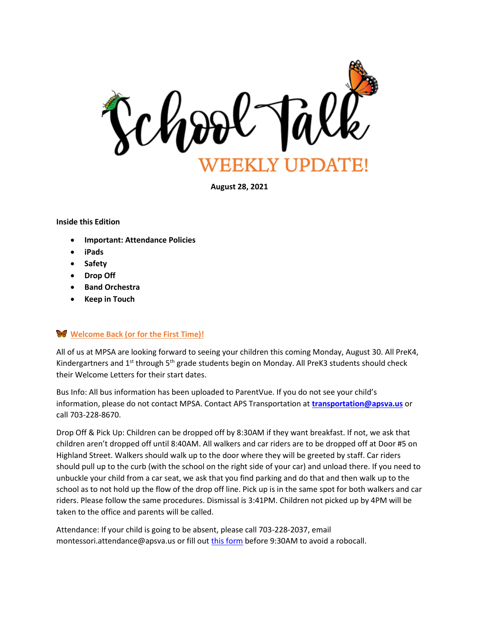

**August 28, 2021**

#### **Inside this Edition**

- **Important: Attendance Policies**
- **iPads**
- **Safety**
- **Drop Off**
- **Band Orchestra**
- **Keep in Touch**

#### **Welcome Back (or for the First Time)!**

All of us at MPSA are looking forward to seeing your children this coming Monday, August 30. All PreK4, Kindergartners and 1<sup>st</sup> through 5<sup>th</sup> grade students begin on Monday. All PreK3 students should check their Welcome Letters for their start dates.

Bus Info: All bus information has been uploaded to ParentVue. If you do not see your child's information, please do not contact MPSA. Contact APS Transportation at **[transportation@apsva.us](mailto:transportation@apsva.us)** or call 703-228-8670.

Drop Off & Pick Up: Children can be dropped off by 8:30AM if they want breakfast. If not, we ask that children aren't dropped off until 8:40AM. All walkers and car riders are to be dropped off at Door #5 on Highland Street. Walkers should walk up to the door where they will be greeted by staff. Car riders should pull up to the curb (with the school on the right side of your car) and unload there. If you need to unbuckle your child from a car seat, we ask that you find parking and do that and then walk up to the school as to not hold up the flow of the drop off line. Pick up is in the same spot for both walkers and car riders. Please follow the same procedures. Dismissal is 3:41PM. Children not picked up by 4PM will be taken to the office and parents will be called.

Attendance: If your child is going to be absent, please call 703-228-2037, email montessori.attendance@apsva.us or fill out [this form](https://montessori.apsva.us/about-us/attendance/) before 9:30AM to avoid a robocall.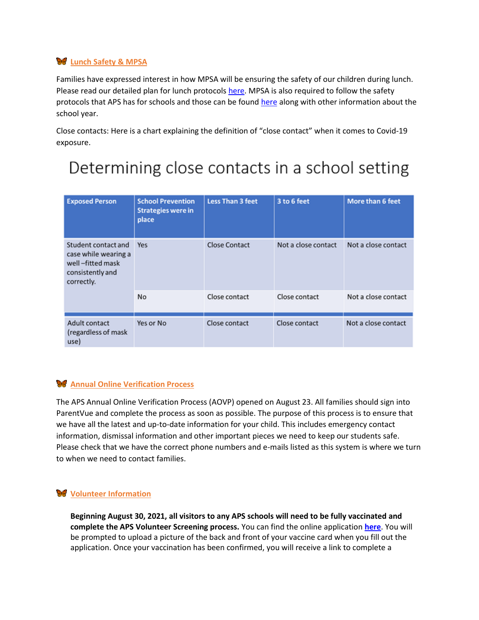## **Lunch Safety & MPSA**

Families have expressed interest in how MPSA will be ensuring the safety of our children during lunch. Please read our detailed plan for lunch protocols [here.](https://montessori.apsva.us/about-us/lunch-at-mpsa/) MPSA is also required to follow the safety protocols that APS has for schools and those can be found [here](https://www.apsva.us/school-year-2021-22/faq/) along with other information about the school year.

Close contacts: Here is a chart explaining the definition of "close contact" when it comes to Covid-19 exposure.

# Determining close contacts in a school setting

| <b>Exposed Person</b>                                                                             | <b>School Prevention</b><br><b>Strategies were in</b><br>place | <b>Less Than 3 feet</b> | 3 to 6 feet         | More than 6 feet    |
|---------------------------------------------------------------------------------------------------|----------------------------------------------------------------|-------------------------|---------------------|---------------------|
| Student contact and<br>case while wearing a<br>well-fitted mask<br>consistently and<br>correctly. | Yes                                                            | Close Contact           | Not a close contact | Not a close contact |
|                                                                                                   | <b>No</b>                                                      | Close contact           | Close contact       | Not a close contact |
| Adult contact<br>(regardless of mask<br>use)                                                      | Yes or No                                                      | Close contact           | Close contact       | Not a close contact |

#### **Annual Online Verification Process**

The APS Annual Online Verification Process (AOVP) opened on August 23. All families should sign into ParentVue and complete the process as soon as possible. The purpose of this process is to ensure that we have all the latest and up-to-date information for your child. This includes emergency contact information, dismissal information and other important pieces we need to keep our students safe. Please check that we have the correct phone numbers and e-mails listed as this system is where we turn to when we need to contact families.

#### **W** Volunteer Information

**Beginning August 30, 2021, all visitors to any APS schools will need to be fully vaccinated and complete the APS Volunteer Screening process.** You can find the online application **[here](http://track.spe.schoolmessenger.com/f/a/ZpV6DMr3N9OX2yOljkYTsw~~/AAAAAQA~/RgRjBq7cP0QyaHR0cHM6Ly9hcHBzLnJhcHRvcnRlY2guY29tL0FwcGx5L01qUXlNRHBsYmkxVlV3PT1XB3NjaG9vbG1CCmEjXHslYbnM2eRSHGtpYS5zdGV2ZW5zb25oYXluZXNAYXBzdmEudXNYBAAAAAE~)**. You will be prompted to upload a picture of the back and front of your vaccine card when you fill out the application. Once your vaccination has been confirmed, you will receive a link to complete a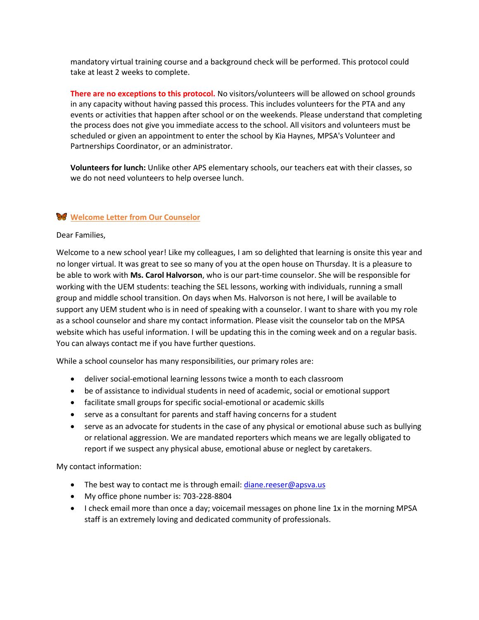mandatory virtual training course and a background check will be performed. This protocol could take at least 2 weeks to complete.

**There are no exceptions to this protocol.** No visitors/volunteers will be allowed on school grounds in any capacity without having passed this process. This includes volunteers for the PTA and any events or activities that happen after school or on the weekends. Please understand that completing the process does not give you immediate access to the school. All visitors and volunteers must be scheduled or given an appointment to enter the school by Kia Haynes, MPSA's Volunteer and Partnerships Coordinator, or an administrator.

**Volunteers for lunch:** Unlike other APS elementary schools, our teachers eat with their classes, so we do not need volunteers to help oversee lunch.

## **Welcome Letter from Our Counselor**

Dear Families,

Welcome to a new school year! Like my colleagues, I am so delighted that learning is onsite this year and no longer virtual. It was great to see so many of you at the open house on Thursday. It is a pleasure to be able to work with **Ms. Carol Halvorson**, who is our part-time counselor. She will be responsible for working with the UEM students: teaching the SEL lessons, working with individuals, running a small group and middle school transition. On days when Ms. Halvorson is not here, I will be available to support any UEM student who is in need of speaking with a counselor. I want to share with you my role as a school counselor and share my contact information. Please visit the counselor tab on the MPSA website which has useful information. I will be updating this in the coming week and on a regular basis. You can always contact me if you have further questions.

While a school counselor has many responsibilities, our primary roles are:

- deliver social-emotional learning lessons twice a month to each classroom
- be of assistance to individual students in need of academic, social or emotional support
- facilitate small groups for specific social-emotional or academic skills
- serve as a consultant for parents and staff having concerns for a student
- serve as an advocate for students in the case of any physical or emotional abuse such as bullying or relational aggression. We are mandated reporters which means we are legally obligated to report if we suspect any physical abuse, emotional abuse or neglect by caretakers.

My contact information:

- The best way to contact me is through email: [diane.reeser@apsva.us](mailto:diane.reeser@apsva.us)
- My office phone number is: 703-228-8804
- I check email more than once a day; voicemail messages on phone line 1x in the morning MPSA staff is an extremely loving and dedicated community of professionals.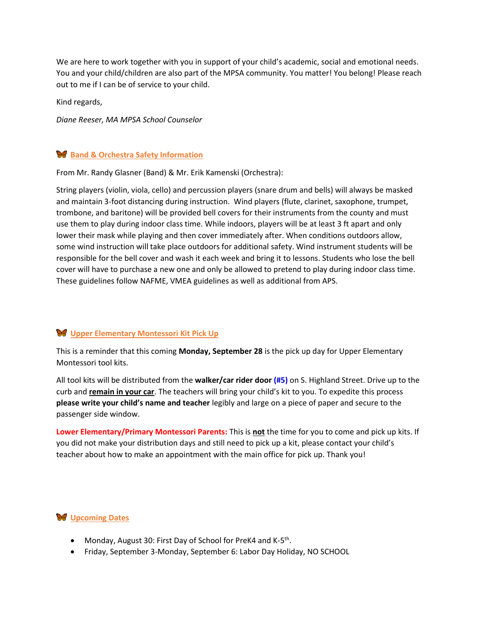We are here to work together with you in support of your child's academic, social and emotional needs. You and your child/children are also part of the MPSA community. You matter! You belong! Please reach out to me if I can be of service to your child.

Kind regards,

*Diane Reeser, MA MPSA School Counselor*

## **Band & Orchestra Safety Information**

From Mr. Randy Glasner (Band) & Mr. Erik Kamenski (Orchestra):

String players (violin, viola, cello) and percussion players (snare drum and bells) will always be masked and maintain 3-foot distancing during instruction. Wind players (flute, clarinet, saxophone, trumpet, trombone, and baritone) will be provided bell covers for their instruments from the county and must use them to play during indoor class time. While indoors, players will be at least 3 ft apart and only lower their mask while playing and then cover immediately after. When conditions outdoors allow, some wind instruction will take place outdoors for additional safety. Wind instrument students will be responsible for the bell cover and wash it each week and bring it to lessons. Students who lose the bell cover will have to purchase a new one and only be allowed to pretend to play during indoor class time. These guidelines follow NAFME, VMEA guidelines as well as additional from APS.

# **Upper Elementary Montessori Kit Pick Up**

This is a reminder that this coming **Monday, September 28** is the pick up day for Upper Elementary Montessori tool kits.

All tool kits will be distributed from the **walker/car rider door (#5)** on S. Highland Street. Drive up to the curb and **remain in your car**. The teachers will bring your child's kit to you. To expedite this process **please write your child's name and teacher** legibly and large on a piece of paper and secure to the passenger side window.

**Lower Elementary/Primary Montessori Parents:** This is **not** the time for you to come and pick up kits. If you did not make your distribution days and still need to pick up a kit, please contact your child's teacher about how to make an appointment with the main office for pick up. Thank you!

#### **W** Upcoming Dates

- Monday, August 30: First Day of School for PreK4 and K-5<sup>th</sup>.
- Friday, September 3-Monday, September 6: Labor Day Holiday, NO SCHOOL